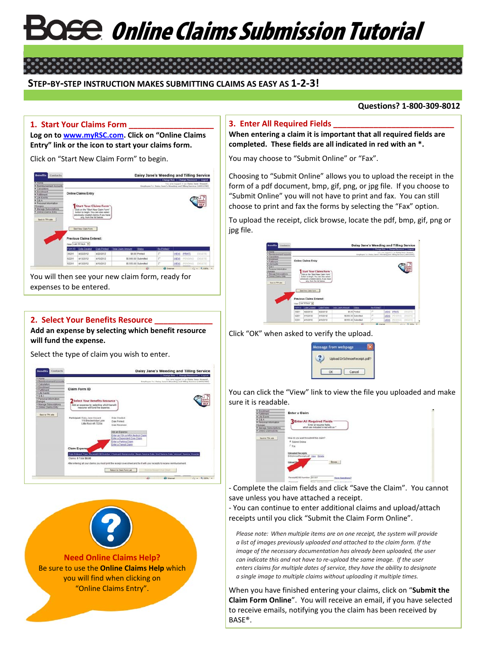# **Se Online Claims Submission Tutorial**

#### **STEP-BY-STEP INSTRUCTION MAKES SUBMITTING CLAIMS AS EASY AS 1-2-3!**

#### **Questions? 1-800-309-8012**

#### **1. Start Your Claims Form \_\_\_\_\_\_\_\_\_\_\_\_\_\_\_\_\_\_\_**

**Log on t[o www.myRSC.com.](http://www.myrsc.com/) Click on "Online Claims Entry" link or the icon to start your claims form.**

Click on "Start New Claim Form" to begin.



You will then see your new claim form, ready for expenses to be entered.

#### **2. Select Your Benefits Resource \_\_\_\_\_\_\_\_\_\_\_\_\_**

**Add an expense by selecting which benefit resource will fund the expense.**

Select the type of claim you wish to enter.

|                                         |                                                                                                                               |                                   |                           |                                                                  | Change Role   Change Password   Logout  |
|-----------------------------------------|-------------------------------------------------------------------------------------------------------------------------------|-----------------------------------|---------------------------|------------------------------------------------------------------|-----------------------------------------|
| <b>A Sigma</b>                          |                                                                                                                               |                                   |                           |                                                                  | You are looped in as Daisy Jane Howard. |
| > Reinbursenent Accounts                |                                                                                                                               |                                   |                           | Employee for Datey Jane's Weeding and Tilling Service (10031788) |                                         |
| » Calculators<br><b>&gt; Enrichment</b> |                                                                                                                               |                                   |                           |                                                                  |                                         |
| F Furthermore                           | Claim Form ID                                                                                                                 |                                   |                           |                                                                  |                                         |
| . Life Events                           |                                                                                                                               |                                   |                           |                                                                  |                                         |
| B.088                                   |                                                                                                                               |                                   |                           |                                                                  |                                         |
| Personal information                    |                                                                                                                               |                                   |                           |                                                                  |                                         |
| Changes                                 | Select Your Benefits Resource                                                                                                 |                                   |                           |                                                                  |                                         |
| * Manage Subscriptions                  | Add an expense by selecting which benefit                                                                                     |                                   |                           |                                                                  |                                         |
| Colora Claims Entry                     | resource will fund the experise.                                                                                              |                                   |                           |                                                                  |                                         |
|                                         |                                                                                                                               |                                   |                           |                                                                  |                                         |
|                                         |                                                                                                                               |                                   |                           |                                                                  |                                         |
| Rack to TAA also                        |                                                                                                                               |                                   |                           |                                                                  |                                         |
|                                         | Participant: Dalsy Jane Howard<br>118 Brechenhope Lane                                                                        | Date Created                      |                           |                                                                  |                                         |
|                                         | Little Rock AR 72204                                                                                                          | Date Printedt                     |                           |                                                                  |                                         |
|                                         |                                                                                                                               | Date Received                     |                           |                                                                  |                                         |
|                                         |                                                                                                                               |                                   |                           |                                                                  |                                         |
|                                         |                                                                                                                               | Add an Expanse                    |                           |                                                                  |                                         |
|                                         |                                                                                                                               | Enter an FSA or HRA Medical Claim |                           |                                                                  |                                         |
|                                         |                                                                                                                               | Enter a Dependent Care Claim      |                           |                                                                  |                                         |
|                                         |                                                                                                                               | Enter a Parking Claim             |                           |                                                                  |                                         |
|                                         |                                                                                                                               | Enter a Transit Claim             |                           |                                                                  |                                         |
|                                         |                                                                                                                               |                                   |                           |                                                                  |                                         |
|                                         | Claim Expensy                                                                                                                 |                                   |                           |                                                                  |                                         |
|                                         | Date Entered Tipe Records OB Number Claimer! Relationship Begin Senior Date End Senior Date Amount Senior Provider            |                                   |                           |                                                                  |                                         |
|                                         |                                                                                                                               |                                   |                           |                                                                  |                                         |
|                                         | Claims: 0 Total: \$0.00                                                                                                       |                                   |                           |                                                                  |                                         |
|                                         |                                                                                                                               |                                   |                           |                                                                  |                                         |
|                                         | After entering all your claims you must print the receipt cover sheet and fax it with your receipts to receive reimbursement. |                                   |                           |                                                                  |                                         |
|                                         |                                                                                                                               |                                   |                           |                                                                  |                                         |
|                                         |                                                                                                                               | Return to Class Form Ltd.         | Patitio Rearer Liver Road |                                                                  |                                         |



#### **3. Enter All Required Fields \_\_\_\_\_\_\_\_\_\_\_\_\_\_\_\_\_\_\_\_\_\_\_\_\_\_\_**

<u>ິ</u>•່

**When entering a claim it is important that all required fields are completed. These fields are all indicated in red with an \*.**

You may choose to "Submit Online" or "Fax".

Choosing to "Submit Online" allows you to upload the receipt in the form of a pdf document, bmp, gif, png, or jpg file. If you choose to "Submit Online" you will not have to print and fax. You can still choose to print and fax the forms by selecting the "Fax" option.

To upload the receipt, click browse, locate the pdf, bmp, gif, png or jpg file.

|                                                                                                           | Daisy Jane's Weeding and Tilling Service |                |                           |                     |                                                                                |         | <b>Benefits</b><br>Contacts                          |
|-----------------------------------------------------------------------------------------------------------|------------------------------------------|----------------|---------------------------|---------------------|--------------------------------------------------------------------------------|---------|------------------------------------------------------|
| Change Role   Change Password   Logost                                                                    |                                          |                |                           |                     |                                                                                |         | <b>P Home</b>                                        |
| You are looped in an Oaley Jane Howard<br>Engineer for Daisy Jane's Wooding and Siling Service (10031709) |                                          |                |                           |                     |                                                                                |         | > Reinsternement Accounts                            |
|                                                                                                           |                                          |                |                           |                     |                                                                                |         | Calculators                                          |
|                                                                                                           |                                          |                |                           |                     | <b>Online Claims Entry</b>                                                     |         | <b>b</b> Fourthmast                                  |
|                                                                                                           |                                          |                |                           |                     |                                                                                |         | > Fulliliners<br>> Life Events                       |
|                                                                                                           |                                          |                |                           |                     |                                                                                |         | PQAA                                                 |
|                                                                                                           |                                          |                |                           |                     |                                                                                |         | · Personal Information                               |
|                                                                                                           |                                          |                |                           |                     | <b>Start Your Claims Form</b>                                                  |         | Changes                                              |
|                                                                                                           |                                          |                |                           |                     | Click on the "Start New Claim Form"                                            |         | <b>+ Manage Subscriptions</b><br>Costos Claims Entry |
|                                                                                                           |                                          |                |                           |                     | button to begin. You can also select<br>previously created claims. If you have |         |                                                      |
|                                                                                                           |                                          |                |                           |                     | any, from the fiel below.                                                      |         |                                                      |
|                                                                                                           |                                          |                |                           |                     |                                                                                |         |                                                      |
|                                                                                                           |                                          |                |                           |                     |                                                                                |         | <b>Back to TPA ade 1</b>                             |
|                                                                                                           |                                          |                |                           |                     |                                                                                |         |                                                      |
|                                                                                                           |                                          |                |                           |                     | <b>Start New Clark Form</b>                                                    |         |                                                      |
|                                                                                                           |                                          |                |                           |                     |                                                                                |         |                                                      |
|                                                                                                           |                                          |                |                           |                     | Previous Claims Entered:                                                       |         |                                                      |
|                                                                                                           |                                          |                |                           |                     |                                                                                |         |                                                      |
|                                                                                                           |                                          |                |                           |                     | View Let 30 Days                                                               |         |                                                      |
|                                                                                                           | <b>Re-Printed*</b>                       | <b>Status</b>  | <b>Total Claim Amount</b> | <b>Date Printed</b> | <b>Date Created</b>                                                            | Form ID |                                                      |
| <b>PRINT</b><br>77177<br><b>IVEW</b>                                                                      | г                                        | \$3.00 Printed |                           | 4/22/2012           | 4/22/2012                                                                      | 38201   |                                                      |
| organ<br>PROFIS<br>(DELETE)                                                                               | п                                        |                | \$4,664.00 Submitted      | 4/13/2012           | 4/13/2012                                                                      | 82201   |                                                      |

Click "OK" when asked to verify the upload.



You can click the "View" link to view the file you uploaded and make sure it is readable.



- Complete the claim fields and click "Save the Claim". You cannot save unless you have attached a receipt.

- You can continue to enter additional claims and upload/attach receipts until you click "Submit the Claim Form Online".

*Please note: When multiple items are on one receipt, the system will provide a list of images previously uploaded and attached to the claim form. If the image of the necessary documentation has already been uploaded, the user can indicate this and not have to re-upload the same image. If the user enters claims for multiple dates of service, they have the ability to designate a single image to multiple claims without uploading it multiple times.*

When you have finished entering your claims, click on "**Submit the Claim Form Online**". You will receive an email, if you have selected to receive emails, notifying you the claim has been received by BASE®.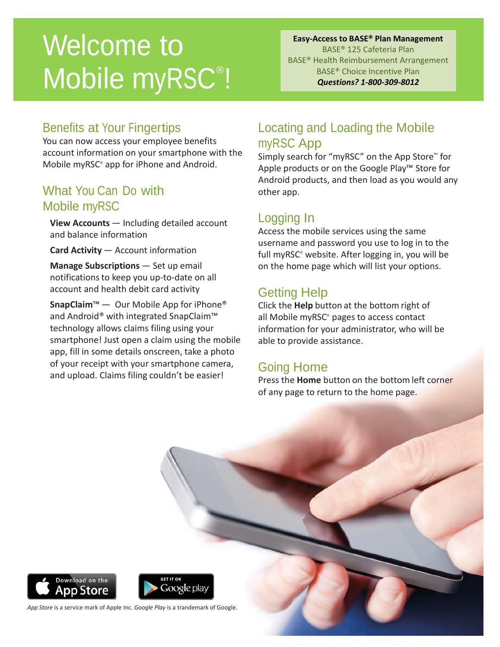## Welcome to Mobile myRSC<sup>®</sup>!

#### **Easy-Access to BASE® Plan Management** BASE® 125 Cafeteria Plan BASE® Health Reimbursement Arrangement BASE® Choice Incentive Plan *Questions? 1-800-309-8012*

#### Benefits at Your Fingertips

You can now access your employee benefits account information on your smartphone with the Mobile myRSC® app for iPhone and Android.

### What You Can Do with Mobile myRSC

**View Accounts** — Including detailed account and balance information

**Card Activity** — Account information

**Manage Subscriptions** — Set up email notificationsto keep you up-to-date on all account and health debit card activity

**SnapClaim**™ — Our Mobile App for iPhone® and Android® with integrated SnapClaim™ technology allows claims filing using your smartphone! Just open a claim using the mobile app, fill in some details onscreen, take a photo of your receipt with your smartphone camera, and upload. Claims filing couldn't be easier!

### Locating and Loading the Mobile myRSC App

Simply search for "myRSC" on the App Store" for Apple products or on the Google Play™ Store for Android products, and then load as you would any other app.

## Logging In

Access the mobile services using the same username and password you use to log in to the full myRSC® website. After logging in, you will be on the home page which will list your options.

## Getting Help

Click the **Help** button at the bottom right of all Mobile myRSC® pages to access contact information for your administrator, who will be able to provide assistance.

## Going Home

Press the **Home** button on the bottom left corner of any page to return to the home page.





*App Store* is a service mark of Apple Inc. *Google Play* is a trandemark of Google.